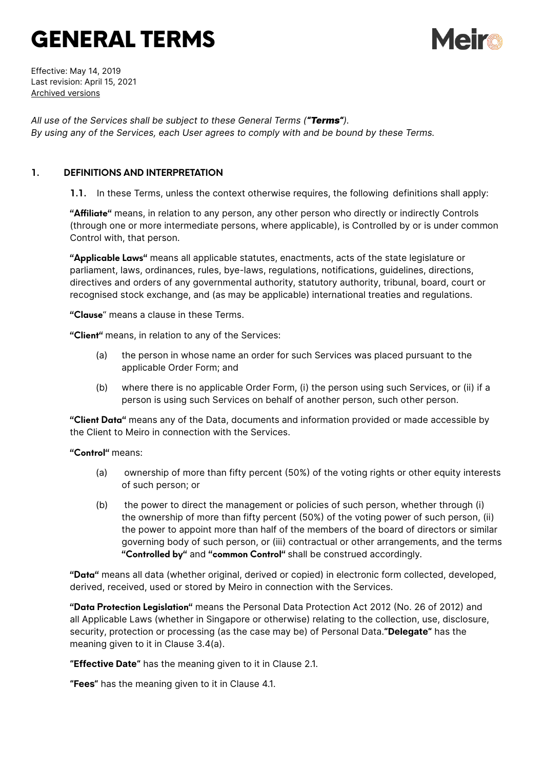# GENERAL TERMS



Effective: May 14, 2019 Last revision: April 15, 2021 [Archived versions](https://www.meiro.io/terms-conditions/archive/)

*All use of the Services shall be subject to these General Terms ("Terms"). By using any of the Services, each User agrees to comply with and be bound by these Terms.*

# **1. DEFINITIONS AND INTERPRETATION**

**1.1.** In these Terms, unless the context otherwise requires, the following definitions shall apply:

**"Affiliate"** means, in relation to any person, any other person who directly or indirectly Controls (through one or more intermediate persons, where applicable), is Controlled by or is under common Control with, that person.

**"Applicable Laws"** means all applicable statutes, enactments, acts of the state legislature or parliament, laws, ordinances, rules, bye-laws, regulations, notifications, guidelines, directions, directives and orders of any governmental authority, statutory authority, tribunal, board, court or recognised stock exchange, and (as may be applicable) international treaties and regulations.

**"Clause**" means a clause in these Terms.

**"Client"** means, in relation to any of the Services:

- (a) the person in whose name an order for such Services was placed pursuant to the applicable Order Form; and
- (b) where there is no applicable Order Form, (i) the person using such Services, or (ii) if a person is using such Services on behalf of another person, such other person.

**"Client Data"** means any of the Data, documents and information provided or made accessible by the Client to Meiro in connection with the Services.

**"Control"** means:

- (a) ownership of more than fifty percent (50%) of the voting rights or other equity interests of such person; or
- (b) the power to direct the management or policies of such person, whether through (i) the ownership of more than fifty percent (50%) of the voting power of such person, (ii) the power to appoint more than half of the members of the board of directors or similar governing body of such person, or (iii) contractual or other arrangements, and the terms **"Controlled by"** and **"common Control"** shall be construed accordingly.

**"Data"** means all data (whether original, derived or copied) in electronic form collected, developed, derived, received, used or stored by Meiro in connection with the Services.

**"Data Protection Legislation"** means the Personal Data Protection Act 2012 (No. 26 of 2012) and all Applicable Laws (whether in Singapore or otherwise) relating to the collection, use, disclosure, security, protection or processing (as the case may be) of Personal Data.**"Delegate"** has the meaning given to it in Clause 3.4(a).

**"Effective Date"** has the meaning given to it in Clause 2.1.

**"Fees"** has the meaning given to it in Clause 4.1.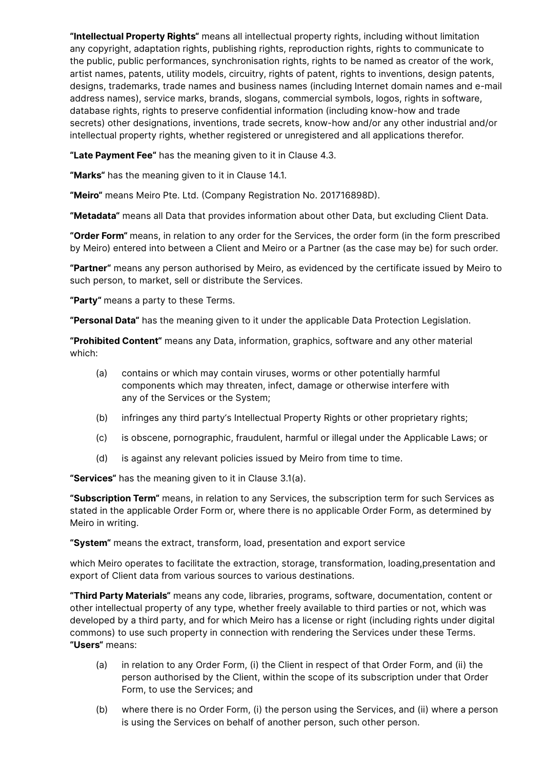**"Intellectual Property Rights"** means all intellectual property rights, including without limitation any copyright, adaptation rights, publishing rights, reproduction rights, rights to communicate to the public, public performances, synchronisation rights, rights to be named as creator of the work, artist names, patents, utility models, circuitry, rights of patent, rights to inventions, design patents, designs, trademarks, trade names and business names (including Internet domain names and e-mail address names), service marks, brands, slogans, commercial symbols, logos, rights in software, database rights, rights to preserve confidential information (including know-how and trade secrets) other designations, inventions, trade secrets, know-how and/or any other industrial and/or intellectual property rights, whether registered or unregistered and all applications therefor.

**"Late Payment Fee"** has the meaning given to it in Clause 4.3.

**"Marks"** has the meaning given to it in Clause 14.1.

**"Meiro"** means Meiro Pte. Ltd. (Company Registration No. 201716898D).

**"Metadata"** means all Data that provides information about other Data, but excluding Client Data.

**"Order Form"** means, in relation to any order for the Services, the order form (in the form prescribed by Meiro) entered into between a Client and Meiro or a Partner (as the case may be) for such order.

**"Partner"** means any person authorised by Meiro, as evidenced by the certificate issued by Meiro to such person, to market, sell or distribute the Services.

**"Party"** means a party to these Terms.

**"Personal Data"** has the meaning given to it under the applicable Data Protection Legislation.

**"Prohibited Content"** means any Data, information, graphics, software and any other material which:

- (a) contains or which may contain viruses, worms or other potentially harmful components which may threaten, infect, damage or otherwise interfere with any of the Services or the System;
- (b) infringes any third party's Intellectual Property Rights or other proprietary rights;
- (c) is obscene, pornographic, fraudulent, harmful or illegal under the Applicable Laws; or
- (d) is against any relevant policies issued by Meiro from time to time.

**"Services"** has the meaning given to it in Clause 3.1(a).

**"Subscription Term"** means, in relation to any Services, the subscription term for such Services as stated in the applicable Order Form or, where there is no applicable Order Form, as determined by Meiro in writing.

**"System"** means the extract, transform, load, presentation and export service

which Meiro operates to facilitate the extraction, storage, transformation, loading,presentation and export of Client data from various sources to various destinations.

**"Third Party Materials"** means any code, libraries, programs, software, documentation, content or other intellectual property of any type, whether freely available to third parties or not, which was developed by a third party, and for which Meiro has a license or right (including rights under digital commons) to use such property in connection with rendering the Services under these Terms. **"Users"** means:

- (a) in relation to any Order Form, (i) the Client in respect of that Order Form, and (ii) the person authorised by the Client, within the scope of its subscription under that Order Form, to use the Services; and
- (b) where there is no Order Form, (i) the person using the Services, and (ii) where a person is using the Services on behalf of another person, such other person.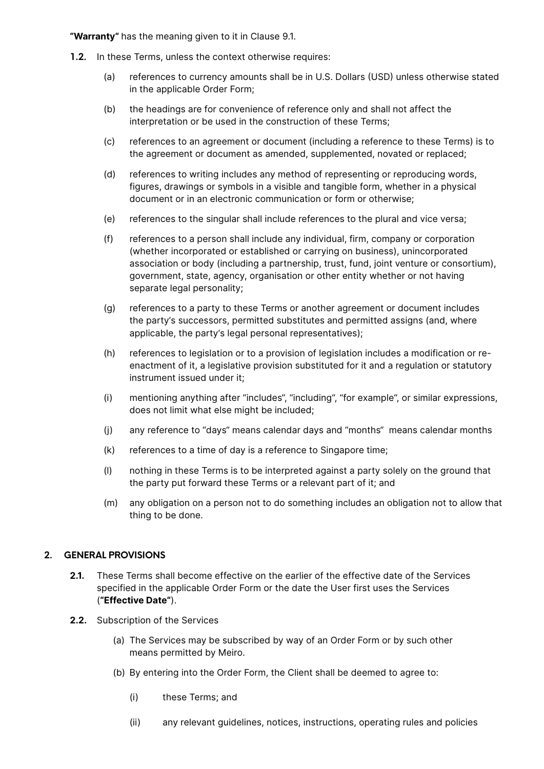**"Warranty"** has the meaning given to it in Clause 9.1.

- **1.2.** In these Terms, unless the context otherwise requires:
	- (a) references to currency amounts shall be in U.S. Dollars (USD) unless otherwise stated in the applicable Order Form;
	- (b) the headings are for convenience of reference only and shall not affect the interpretation or be used in the construction of these Terms;
	- (c) references to an agreement or document (including a reference to these Terms) is to the agreement or document as amended, supplemented, novated or replaced;
	- (d) references to writing includes any method of representing or reproducing words, figures, drawings or symbols in a visible and tangible form, whether in a physical document or in an electronic communication or form or otherwise;
	- (e) references to the singular shall include references to the plural and vice versa;
	- (f) references to a person shall include any individual, firm, company or corporation (whether incorporated or established or carrying on business), unincorporated association or body (including a partnership, trust, fund, joint venture or consortium), government, state, agency, organisation or other entity whether or not having separate legal personality;
	- (g) references to a party to these Terms or another agreement or document includes the party's successors, permitted substitutes and permitted assigns (and, where applicable, the party's legal personal representatives);
	- (h) references to legislation or to a provision of legislation includes a modification or reenactment of it, a legislative provision substituted for it and a regulation or statutory instrument issued under it;
	- (i) mentioning anything after "includes", "including", "for example", or similar expressions, does not limit what else might be included;
	- (j) any reference to "days" means calendar days and "months" means calendar months
	- (k) references to a time of day is a reference to Singapore time;
	- (l) nothing in these Terms is to be interpreted against a party solely on the ground that the party put forward these Terms or a relevant part of it; and
	- (m) any obligation on a person not to do something includes an obligation not to allow that thing to be done.

## **2. GENERAL PROVISIONS**

- **2.1.** These Terms shall become effective on the earlier of the effective date of the Services specified in the applicable Order Form or the date the User first uses the Services (**"Effective Date"**).
- **2.2.** Subscription of the Services
	- (a) The Services may be subscribed by way of an Order Form or by such other means permitted by Meiro.
	- (b) By entering into the Order Form, the Client shall be deemed to agree to:
		- (i) these Terms; and
		- (ii) any relevant guidelines, notices, instructions, operating rules and policies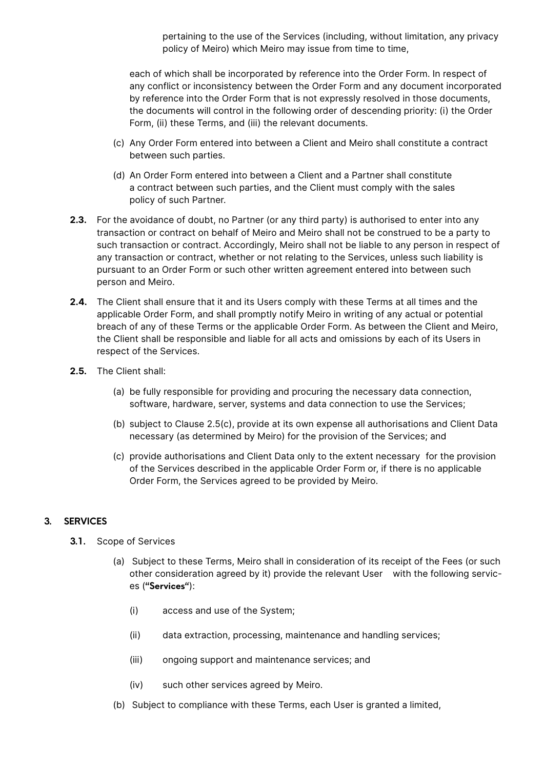pertaining to the use of the Services (including, without limitation, any privacy policy of Meiro) which Meiro may issue from time to time,

each of which shall be incorporated by reference into the Order Form. In respect of any conflict or inconsistency between the Order Form and any document incorporated by reference into the Order Form that is not expressly resolved in those documents, the documents will control in the following order of descending priority: (i) the Order Form, (ii) these Terms, and (iii) the relevant documents.

- (c) Any Order Form entered into between a Client and Meiro shall constitute a contract between such parties.
- (d) An Order Form entered into between a Client and a Partner shall constitute a contract between such parties, and the Client must comply with the sales policy of such Partner.
- **2.3.** For the avoidance of doubt, no Partner (or any third party) is authorised to enter into any transaction or contract on behalf of Meiro and Meiro shall not be construed to be a party to such transaction or contract. Accordingly, Meiro shall not be liable to any person in respect of any transaction or contract, whether or not relating to the Services, unless such liability is pursuant to an Order Form or such other written agreement entered into between such person and Meiro.
- **2.4.** The Client shall ensure that it and its Users comply with these Terms at all times and the applicable Order Form, and shall promptly notify Meiro in writing of any actual or potential breach of any of these Terms or the applicable Order Form. As between the Client and Meiro, the Client shall be responsible and liable for all acts and omissions by each of its Users in respect of the Services.
- **2.5.** The Client shall:
	- (a) be fully responsible for providing and procuring the necessary data connection, software, hardware, server, systems and data connection to use the Services;
	- (b) subject to Clause 2.5(c), provide at its own expense all authorisations and Client Data necessary (as determined by Meiro) for the provision of the Services; and
	- (c) provide authorisations and Client Data only to the extent necessary for the provision of the Services described in the applicable Order Form or, if there is no applicable Order Form, the Services agreed to be provided by Meiro.

## **3. SERVICES**

- **3.1.** Scope of Services
	- (a) Subject to these Terms, Meiro shall in consideration of its receipt of the Fees (or such other consideration agreed by it) provide the relevant User with the following services (**"Services"**):
		- (i) access and use of the System;
		- (ii) data extraction, processing, maintenance and handling services;
		- (iii) ongoing support and maintenance services; and
		- (iv) such other services agreed by Meiro.
	- (b) Subject to compliance with these Terms, each User is granted a limited,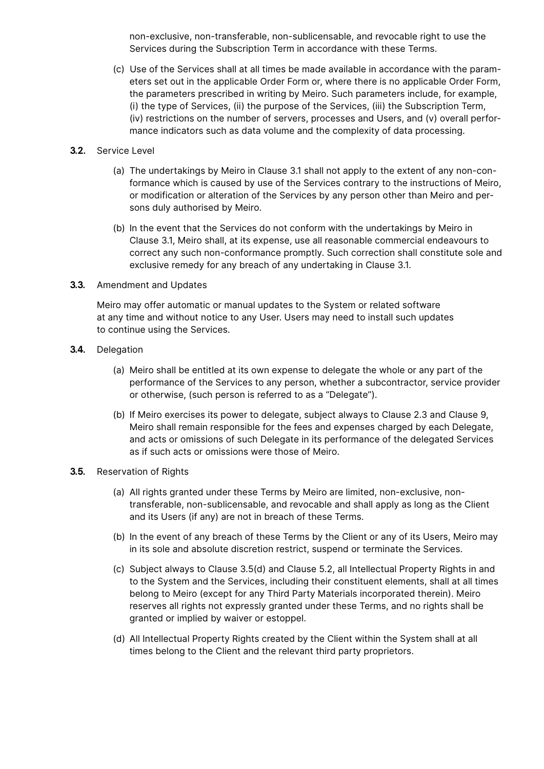non-exclusive, non-transferable, non-sublicensable, and revocable right to use the Services during the Subscription Term in accordance with these Terms.

- (c) Use of the Services shall at all times be made available in accordance with the parameters set out in the applicable Order Form or, where there is no applicable Order Form, the parameters prescribed in writing by Meiro. Such parameters include, for example, (i) the type of Services, (ii) the purpose of the Services, (iii) the Subscription Term, (iv) restrictions on the number of servers, processes and Users, and (v) overall performance indicators such as data volume and the complexity of data processing.
- **3.2.** Service Level
	- (a) The undertakings by Meiro in Clause 3.1 shall not apply to the extent of any non-conformance which is caused by use of the Services contrary to the instructions of Meiro, or modification or alteration of the Services by any person other than Meiro and persons duly authorised by Meiro.
	- (b) In the event that the Services do not conform with the undertakings by Meiro in Clause 3.1, Meiro shall, at its expense, use all reasonable commercial endeavours to correct any such non-conformance promptly. Such correction shall constitute sole and exclusive remedy for any breach of any undertaking in Clause 3.1.
- **3.3.** Amendment and Updates

Meiro may offer automatic or manual updates to the System or related software at any time and without notice to any User. Users may need to install such updates to continue using the Services.

- **3.4.** Delegation
	- (a) Meiro shall be entitled at its own expense to delegate the whole or any part of the performance of the Services to any person, whether a subcontractor, service provider or otherwise, (such person is referred to as a "Delegate").
	- (b) If Meiro exercises its power to delegate, subject always to Clause 2.3 and Clause 9, Meiro shall remain responsible for the fees and expenses charged by each Delegate, and acts or omissions of such Delegate in its performance of the delegated Services as if such acts or omissions were those of Meiro.

## **3.5.** Reservation of Rights

- (a) All rights granted under these Terms by Meiro are limited, non-exclusive, nontransferable, non-sublicensable, and revocable and shall apply as long as the Client and its Users (if any) are not in breach of these Terms.
- (b) In the event of any breach of these Terms by the Client or any of its Users, Meiro may in its sole and absolute discretion restrict, suspend or terminate the Services.
- (c) Subject always to Clause 3.5(d) and Clause 5.2, all Intellectual Property Rights in and to the System and the Services, including their constituent elements, shall at all times belong to Meiro (except for any Third Party Materials incorporated therein). Meiro reserves all rights not expressly granted under these Terms, and no rights shall be granted or implied by waiver or estoppel.
- (d) All Intellectual Property Rights created by the Client within the System shall at all times belong to the Client and the relevant third party proprietors.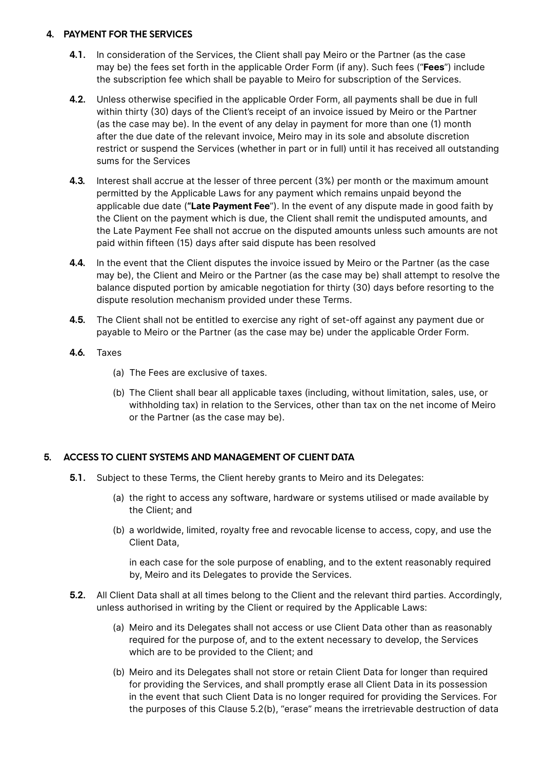## **4. PAYMENT FOR THE SERVICES**

- **4.1.** In consideration of the Services, the Client shall pay Meiro or the Partner (as the case may be) the fees set forth in the applicable Order Form (if any). Such fees ("**Fees**") include the subscription fee which shall be payable to Meiro for subscription of the Services.
- **4.2.** Unless otherwise specified in the applicable Order Form, all payments shall be due in full within thirty (30) days of the Client's receipt of an invoice issued by Meiro or the Partner (as the case may be). In the event of any delay in payment for more than one (1) month after the due date of the relevant invoice, Meiro may in its sole and absolute discretion restrict or suspend the Services (whether in part or in full) until it has received all outstanding sums for the Services
- **4.3.** Interest shall accrue at the lesser of three percent (3%) per month or the maximum amount permitted by the Applicable Laws for any payment which remains unpaid beyond the applicable due date (**"Late Payment Fee**"). In the event of any dispute made in good faith by the Client on the payment which is due, the Client shall remit the undisputed amounts, and the Late Payment Fee shall not accrue on the disputed amounts unless such amounts are not paid within fifteen (15) days after said dispute has been resolved
- **4.4.** In the event that the Client disputes the invoice issued by Meiro or the Partner (as the case may be), the Client and Meiro or the Partner (as the case may be) shall attempt to resolve the balance disputed portion by amicable negotiation for thirty (30) days before resorting to the dispute resolution mechanism provided under these Terms.
- **4.5.** The Client shall not be entitled to exercise any right of set-off against any payment due or payable to Meiro or the Partner (as the case may be) under the applicable Order Form.
- **4.6.** Taxes
	- (a) The Fees are exclusive of taxes.
	- (b) The Client shall bear all applicable taxes (including, without limitation, sales, use, or withholding tax) in relation to the Services, other than tax on the net income of Meiro or the Partner (as the case may be).

## **5. ACCESS TO CLIENT SYSTEMS AND MANAGEMENT OF CLIENT DATA**

- **5.1.** Subject to these Terms, the Client hereby grants to Meiro and its Delegates:
	- (a) the right to access any software, hardware or systems utilised or made available by the Client; and
	- (b) a worldwide, limited, royalty free and revocable license to access, copy, and use the Client Data,

 in each case for the sole purpose of enabling, and to the extent reasonably required by, Meiro and its Delegates to provide the Services.

- **5.2.** All Client Data shall at all times belong to the Client and the relevant third parties. Accordingly, unless authorised in writing by the Client or required by the Applicable Laws:
	- (a) Meiro and its Delegates shall not access or use Client Data other than as reasonably required for the purpose of, and to the extent necessary to develop, the Services which are to be provided to the Client; and
	- (b) Meiro and its Delegates shall not store or retain Client Data for longer than required for providing the Services, and shall promptly erase all Client Data in its possession in the event that such Client Data is no longer required for providing the Services. For the purposes of this Clause 5.2(b), "erase" means the irretrievable destruction of data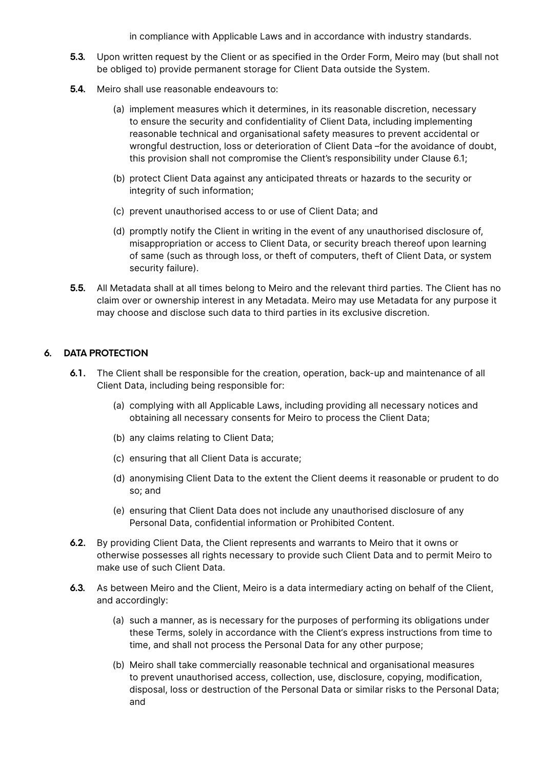in compliance with Applicable Laws and in accordance with industry standards.

- **5.3.** Upon written request by the Client or as specified in the Order Form, Meiro may (but shall not be obliged to) provide permanent storage for Client Data outside the System.
- **5.4.** Meiro shall use reasonable endeavours to:
	- (a) implement measures which it determines, in its reasonable discretion, necessary to ensure the security and confidentiality of Client Data, including implementing reasonable technical and organisational safety measures to prevent accidental or wrongful destruction, loss or deterioration of Client Data –for the avoidance of doubt, this provision shall not compromise the Client's responsibility under Clause 6.1;
	- (b) protect Client Data against any anticipated threats or hazards to the security or integrity of such information;
	- (c) prevent unauthorised access to or use of Client Data; and
	- (d) promptly notify the Client in writing in the event of any unauthorised disclosure of, misappropriation or access to Client Data, or security breach thereof upon learning of same (such as through loss, or theft of computers, theft of Client Data, or system security failure).
- **5.5.** All Metadata shall at all times belong to Meiro and the relevant third parties. The Client has no claim over or ownership interest in any Metadata. Meiro may use Metadata for any purpose it may choose and disclose such data to third parties in its exclusive discretion.

#### **6. DATA PROTECTION**

- **6.1.** The Client shall be responsible for the creation, operation, back-up and maintenance of all Client Data, including being responsible for:
	- (a) complying with all Applicable Laws, including providing all necessary notices and obtaining all necessary consents for Meiro to process the Client Data;
	- (b) any claims relating to Client Data;
	- (c) ensuring that all Client Data is accurate;
	- (d) anonymising Client Data to the extent the Client deems it reasonable or prudent to do so; and
	- (e) ensuring that Client Data does not include any unauthorised disclosure of any Personal Data, confidential information or Prohibited Content.
- **6.2.** By providing Client Data, the Client represents and warrants to Meiro that it owns or otherwise possesses all rights necessary to provide such Client Data and to permit Meiro to make use of such Client Data.
- **6.3.** As between Meiro and the Client, Meiro is a data intermediary acting on behalf of the Client, and accordingly:
	- (a) such a manner, as is necessary for the purposes of performing its obligations under these Terms, solely in accordance with the Client's express instructions from time to time, and shall not process the Personal Data for any other purpose;
	- (b) Meiro shall take commercially reasonable technical and organisational measures to prevent unauthorised access, collection, use, disclosure, copying, modification, disposal, loss or destruction of the Personal Data or similar risks to the Personal Data; and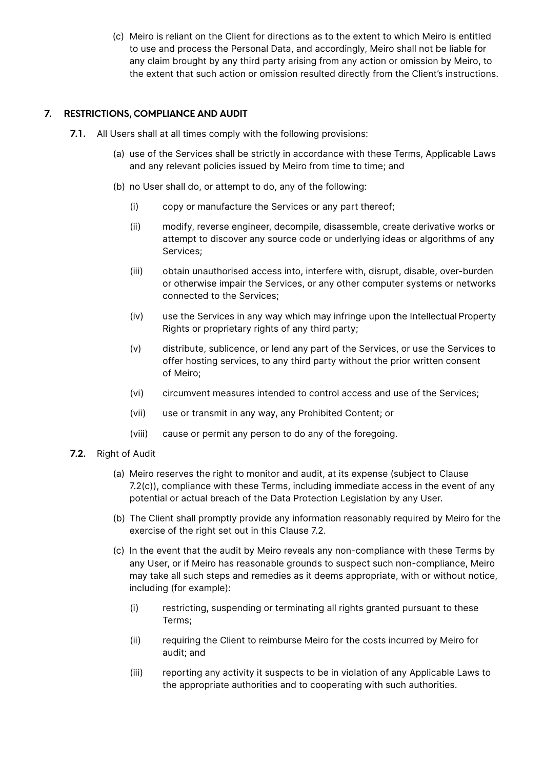(c) Meiro is reliant on the Client for directions as to the extent to which Meiro is entitled to use and process the Personal Data, and accordingly, Meiro shall not be liable for any claim brought by any third party arising from any action or omission by Meiro, to the extent that such action or omission resulted directly from the Client's instructions.

# **7. RESTRICTIONS, COMPLIANCE AND AUDIT**

- **7.1.** All Users shall at all times comply with the following provisions:
	- (a) use of the Services shall be strictly in accordance with these Terms, Applicable Laws and any relevant policies issued by Meiro from time to time; and
	- (b) no User shall do, or attempt to do, any of the following:
		- (i) copy or manufacture the Services or any part thereof;
		- (ii) modify, reverse engineer, decompile, disassemble, create derivative works or attempt to discover any source code or underlying ideas or algorithms of any Services;
		- (iii) obtain unauthorised access into, interfere with, disrupt, disable, over-burden or otherwise impair the Services, or any other computer systems or networks connected to the Services;
		- (iv) use the Services in any way which may infringe upon the Intellectual Property Rights or proprietary rights of any third party;
		- (v) distribute, sublicence, or lend any part of the Services, or use the Services to offer hosting services, to any third party without the prior written consent of Meiro;
		- (vi) circumvent measures intended to control access and use of the Services;
		- (vii) use or transmit in any way, any Prohibited Content; or
		- (viii) cause or permit any person to do any of the foregoing.
- **7.2.** Right of Audit
	- (a) Meiro reserves the right to monitor and audit, at its expense (subject to Clause 7.2(c)), compliance with these Terms, including immediate access in the event of any potential or actual breach of the Data Protection Legislation by any User.
	- (b) The Client shall promptly provide any information reasonably required by Meiro for the exercise of the right set out in this Clause 7.2.
	- (c) In the event that the audit by Meiro reveals any non-compliance with these Terms by any User, or if Meiro has reasonable grounds to suspect such non-compliance, Meiro may take all such steps and remedies as it deems appropriate, with or without notice, including (for example):
		- (i) restricting, suspending or terminating all rights granted pursuant to these Terms;
		- (ii) requiring the Client to reimburse Meiro for the costs incurred by Meiro for audit; and
		- (iii) reporting any activity it suspects to be in violation of any Applicable Laws to the appropriate authorities and to cooperating with such authorities.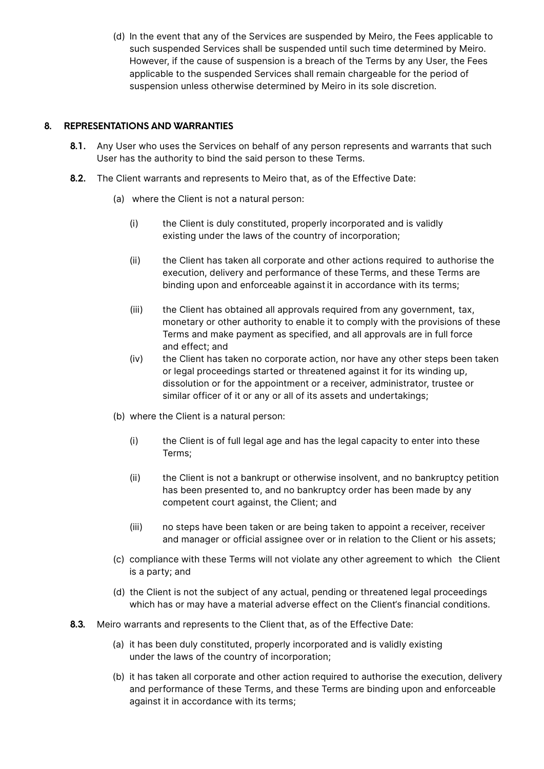(d) In the event that any of the Services are suspended by Meiro, the Fees applicable to such suspended Services shall be suspended until such time determined by Meiro. However, if the cause of suspension is a breach of the Terms by any User, the Fees applicable to the suspended Services shall remain chargeable for the period of suspension unless otherwise determined by Meiro in its sole discretion.

## **8. REPRESENTATIONS AND WARRANTIES**

- **8.1.** Any User who uses the Services on behalf of any person represents and warrants that such User has the authority to bind the said person to these Terms.
- **8.2.** The Client warrants and represents to Meiro that, as of the Effective Date:
	- (a) where the Client is not a natural person:
		- (i) the Client is duly constituted, properly incorporated and is validly existing under the laws of the country of incorporation;
		- (ii) the Client has taken all corporate and other actions required to authorise the execution, delivery and performance of these Terms, and these Terms are binding upon and enforceable against it in accordance with its terms;
		- (iii) the Client has obtained all approvals required from any government, tax, monetary or other authority to enable it to comply with the provisions of these Terms and make payment as specified, and all approvals are in full force and effect; and
		- (iv) the Client has taken no corporate action, nor have any other steps been taken or legal proceedings started or threatened against it for its winding up, dissolution or for the appointment or a receiver, administrator, trustee or similar officer of it or any or all of its assets and undertakings;
	- (b) where the Client is a natural person:
		- (i) the Client is of full legal age and has the legal capacity to enter into these Terms;
		- (ii) the Client is not a bankrupt or otherwise insolvent, and no bankruptcy petition has been presented to, and no bankruptcy order has been made by any competent court against, the Client; and
		- (iii) no steps have been taken or are being taken to appoint a receiver, receiver and manager or official assignee over or in relation to the Client or his assets;
	- (c) compliance with these Terms will not violate any other agreement to which the Client is a party; and
	- (d) the Client is not the subject of any actual, pending or threatened legal proceedings which has or may have a material adverse effect on the Client's financial conditions.
- **8.3.** Meiro warrants and represents to the Client that, as of the Effective Date:
	- (a) it has been duly constituted, properly incorporated and is validly existing under the laws of the country of incorporation;
	- (b) it has taken all corporate and other action required to authorise the execution, delivery and performance of these Terms, and these Terms are binding upon and enforceable against it in accordance with its terms;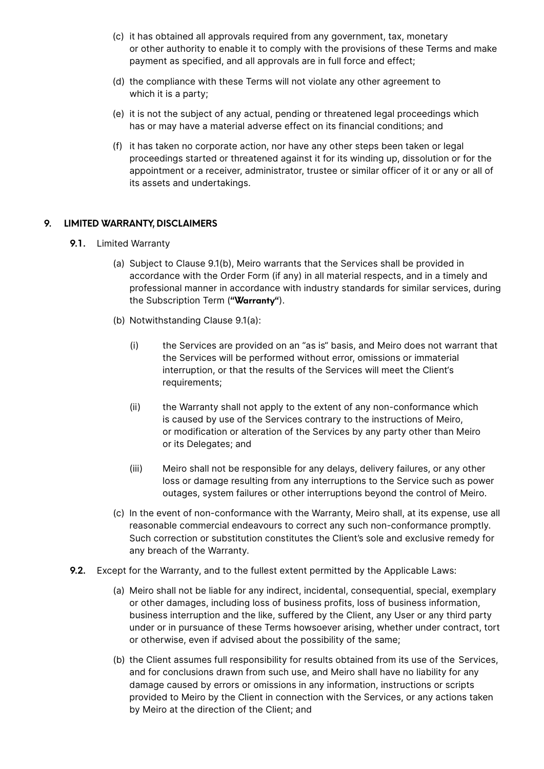- (c) it has obtained all approvals required from any government, tax, monetary or other authority to enable it to comply with the provisions of these Terms and make payment as specified, and all approvals are in full force and effect;
- (d) the compliance with these Terms will not violate any other agreement to which it is a party;
- (e) it is not the subject of any actual, pending or threatened legal proceedings which has or may have a material adverse effect on its financial conditions; and
- (f) it has taken no corporate action, nor have any other steps been taken or legal proceedings started or threatened against it for its winding up, dissolution or for the appointment or a receiver, administrator, trustee or similar officer of it or any or all of its assets and undertakings.

#### **9. LIMITED WARRANTY, DISCLAIMERS**

- **9.1.** Limited Warranty
	- (a) Subject to Clause 9.1(b), Meiro warrants that the Services shall be provided in accordance with the Order Form (if any) in all material respects, and in a timely and professional manner in accordance with industry standards for similar services, during the Subscription Term (**"Warranty"**).
	- (b) Notwithstanding Clause 9.1(a):
		- (i) the Services are provided on an "as is" basis, and Meiro does not warrant that the Services will be performed without error, omissions or immaterial interruption, or that the results of the Services will meet the Client's requirements;
		- (ii) the Warranty shall not apply to the extent of any non-conformance which is caused by use of the Services contrary to the instructions of Meiro, or modification or alteration of the Services by any party other than Meiro or its Delegates; and
		- (iii) Meiro shall not be responsible for any delays, delivery failures, or any other loss or damage resulting from any interruptions to the Service such as power outages, system failures or other interruptions beyond the control of Meiro.
	- (c) In the event of non-conformance with the Warranty, Meiro shall, at its expense, use all reasonable commercial endeavours to correct any such non-conformance promptly. Such correction or substitution constitutes the Client's sole and exclusive remedy for any breach of the Warranty.
- **9.2.** Except for the Warranty, and to the fullest extent permitted by the Applicable Laws:
	- (a) Meiro shall not be liable for any indirect, incidental, consequential, special, exemplary or other damages, including loss of business profits, loss of business information, business interruption and the like, suffered by the Client, any User or any third party under or in pursuance of these Terms howsoever arising, whether under contract, tort or otherwise, even if advised about the possibility of the same;
	- (b) the Client assumes full responsibility for results obtained from its use of the Services, and for conclusions drawn from such use, and Meiro shall have no liability for any damage caused by errors or omissions in any information, instructions or scripts provided to Meiro by the Client in connection with the Services, or any actions taken by Meiro at the direction of the Client; and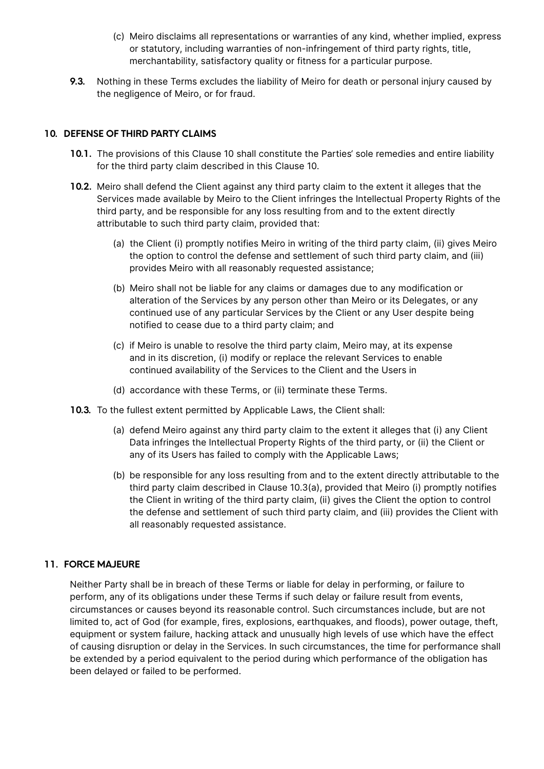- (c) Meiro disclaims all representations or warranties of any kind, whether implied, express or statutory, including warranties of non-infringement of third party rights, title, merchantability, satisfactory quality or fitness for a particular purpose.
- **9.3.** Nothing in these Terms excludes the liability of Meiro for death or personal injury caused by the negligence of Meiro, or for fraud.

#### **10. DEFENSE OF THIRD PARTY CLAIMS**

- **10.1.** The provisions of this Clause 10 shall constitute the Parties' sole remedies and entire liability for the third party claim described in this Clause 10.
- **10.2.** Meiro shall defend the Client against any third party claim to the extent it alleges that the Services made available by Meiro to the Client infringes the Intellectual Property Rights of the third party, and be responsible for any loss resulting from and to the extent directly attributable to such third party claim, provided that:
	- (a) the Client (i) promptly notifies Meiro in writing of the third party claim, (ii) gives Meiro the option to control the defense and settlement of such third party claim, and (iii) provides Meiro with all reasonably requested assistance;
	- (b) Meiro shall not be liable for any claims or damages due to any modification or alteration of the Services by any person other than Meiro or its Delegates, or any continued use of any particular Services by the Client or any User despite being notified to cease due to a third party claim; and
	- (c) if Meiro is unable to resolve the third party claim, Meiro may, at its expense and in its discretion, (i) modify or replace the relevant Services to enable continued availability of the Services to the Client and the Users in
	- (d) accordance with these Terms, or (ii) terminate these Terms.
- **10.3.** To the fullest extent permitted by Applicable Laws, the Client shall:
	- (a) defend Meiro against any third party claim to the extent it alleges that (i) any Client Data infringes the Intellectual Property Rights of the third party, or (ii) the Client or any of its Users has failed to comply with the Applicable Laws;
	- (b) be responsible for any loss resulting from and to the extent directly attributable to the third party claim described in Clause 10.3(a), provided that Meiro (i) promptly notifies the Client in writing of the third party claim, (ii) gives the Client the option to control the defense and settlement of such third party claim, and (iii) provides the Client with all reasonably requested assistance.

#### **11. FORCE MAJEURE**

Neither Party shall be in breach of these Terms or liable for delay in performing, or failure to perform, any of its obligations under these Terms if such delay or failure result from events, circumstances or causes beyond its reasonable control. Such circumstances include, but are not limited to, act of God (for example, fires, explosions, earthquakes, and floods), power outage, theft, equipment or system failure, hacking attack and unusually high levels of use which have the effect of causing disruption or delay in the Services. In such circumstances, the time for performance shall be extended by a period equivalent to the period during which performance of the obligation has been delayed or failed to be performed.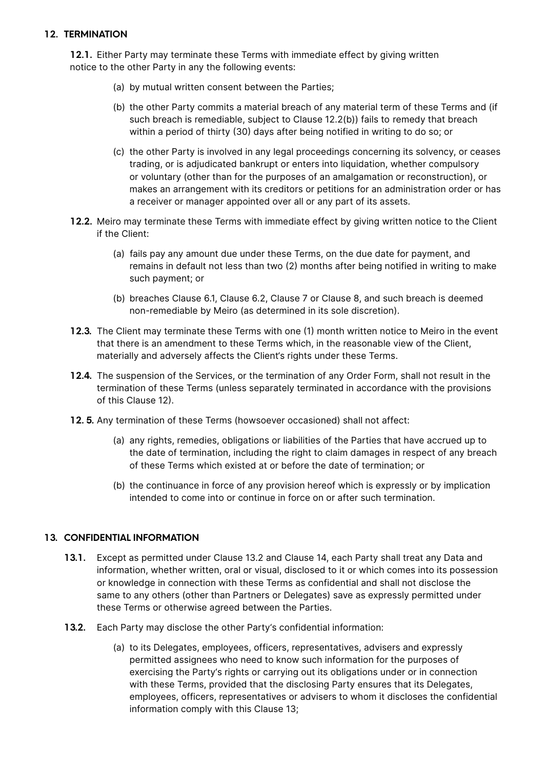## **12. TERMINATION**

**12.1.** Either Party may terminate these Terms with immediate effect by giving written notice to the other Party in any the following events:

- (a) by mutual written consent between the Parties;
- (b) the other Party commits a material breach of any material term of these Terms and (if such breach is remediable, subject to Clause 12.2(b)) fails to remedy that breach within a period of thirty (30) days after being notified in writing to do so; or
- (c) the other Party is involved in any legal proceedings concerning its solvency, or ceases trading, or is adjudicated bankrupt or enters into liquidation, whether compulsory or voluntary (other than for the purposes of an amalgamation or reconstruction), or makes an arrangement with its creditors or petitions for an administration order or has a receiver or manager appointed over all or any part of its assets.
- **12.2.** Meiro may terminate these Terms with immediate effect by giving written notice to the Client if the Client:
	- (a) fails pay any amount due under these Terms, on the due date for payment, and remains in default not less than two (2) months after being notified in writing to make such payment; or
	- (b) breaches Clause 6.1, Clause 6.2, Clause 7 or Clause 8, and such breach is deemed non-remediable by Meiro (as determined in its sole discretion).
- **12.3.** The Client may terminate these Terms with one (1) month written notice to Meiro in the event that there is an amendment to these Terms which, in the reasonable view of the Client, materially and adversely affects the Client's rights under these Terms.
- **12.4.** The suspension of the Services, or the termination of any Order Form, shall not result in the termination of these Terms (unless separately terminated in accordance with the provisions of this Clause 12).
- **12. 5.** Any termination of these Terms (howsoever occasioned) shall not affect:
	- (a) any rights, remedies, obligations or liabilities of the Parties that have accrued up to the date of termination, including the right to claim damages in respect of any breach of these Terms which existed at or before the date of termination; or
	- (b) the continuance in force of any provision hereof which is expressly or by implication intended to come into or continue in force on or after such termination.

## **13. CONFIDENTIAL INFORMATION**

- **13.1.** Except as permitted under Clause 13.2 and Clause 14, each Party shall treat any Data and information, whether written, oral or visual, disclosed to it or which comes into its possession or knowledge in connection with these Terms as confidential and shall not disclose the same to any others (other than Partners or Delegates) save as expressly permitted under these Terms or otherwise agreed between the Parties.
- **13.2.** Each Party may disclose the other Party's confidential information:
	- (a) to its Delegates, employees, officers, representatives, advisers and expressly permitted assignees who need to know such information for the purposes of exercising the Party's rights or carrying out its obligations under or in connection with these Terms, provided that the disclosing Party ensures that its Delegates, employees, officers, representatives or advisers to whom it discloses the confidential information comply with this Clause 13;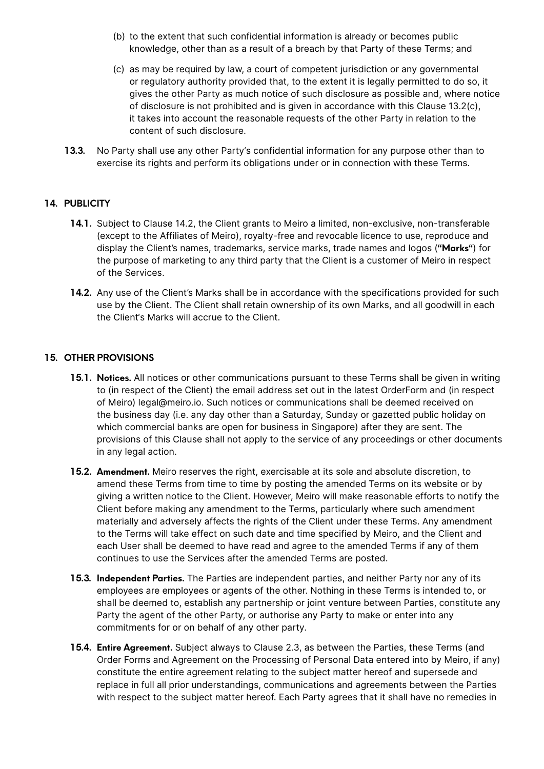- (b) to the extent that such confidential information is already or becomes public knowledge, other than as a result of a breach by that Party of these Terms; and
- (c) as may be required by law, a court of competent jurisdiction or any governmental or regulatory authority provided that, to the extent it is legally permitted to do so, it gives the other Party as much notice of such disclosure as possible and, where notice of disclosure is not prohibited and is given in accordance with this Clause 13.2(c), it takes into account the reasonable requests of the other Party in relation to the content of such disclosure.
- **13.3.** No Party shall use any other Party's confidential information for any purpose other than to exercise its rights and perform its obligations under or in connection with these Terms.

## **14. PUBLICITY**

- **14.1.** Subject to Clause 14.2, the Client grants to Meiro a limited, non-exclusive, non-transferable (except to the Affiliates of Meiro), royalty-free and revocable licence to use, reproduce and display the Client's names, trademarks, service marks, trade names and logos (**"Marks"**) for the purpose of marketing to any third party that the Client is a customer of Meiro in respect of the Services.
- **14.2.** Any use of the Client's Marks shall be in accordance with the specifications provided for such use by the Client. The Client shall retain ownership of its own Marks, and all goodwill in each the Client's Marks will accrue to the Client.

#### **15. OTHER PROVISIONS**

- **15.1. Notices.** All notices or other communications pursuant to these Terms shall be given in writing to (in respect of the Client) the email address set out in the latest OrderForm and (in respect of Meiro) legal@meiro.io. Such notices or communications shall be deemed received on the business day (i.e. any day other than a Saturday, Sunday or gazetted public holiday on which commercial banks are open for business in Singapore) after they are sent. The provisions of this Clause shall not apply to the service of any proceedings or other documents in any legal action.
- **15.2. Amendment.** Meiro reserves the right, exercisable at its sole and absolute discretion, to amend these Terms from time to time by posting the amended Terms on its website or by giving a written notice to the Client. However, Meiro will make reasonable efforts to notify the Client before making any amendment to the Terms, particularly where such amendment materially and adversely affects the rights of the Client under these Terms. Any amendment to the Terms will take effect on such date and time specified by Meiro, and the Client and each User shall be deemed to have read and agree to the amended Terms if any of them continues to use the Services after the amended Terms are posted.
- **15.3. Independent Parties.** The Parties are independent parties, and neither Party nor any of its employees are employees or agents of the other. Nothing in these Terms is intended to, or shall be deemed to, establish any partnership or joint venture between Parties, constitute any Party the agent of the other Party, or authorise any Party to make or enter into any commitments for or on behalf of any other party.
- **15.4. Entire Agreement.** Subject always to Clause 2.3, as between the Parties, these Terms (and Order Forms and Agreement on the Processing of Personal Data entered into by Meiro, if any) constitute the entire agreement relating to the subject matter hereof and supersede and replace in full all prior understandings, communications and agreements between the Parties with respect to the subject matter hereof. Each Party agrees that it shall have no remedies in